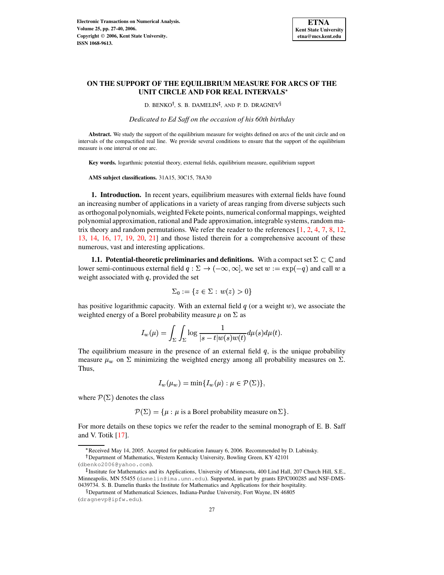

# **ON THE SUPPORT OF THE EQUILIBRIUM MEASURE FOR ARCS OF THE UNIT CIRCLE AND FOR REAL INTERVALS**

D. BENKO<sup>†</sup>, S. B. DAMELIN<sup>‡</sup>, AND P. D. DRAGNEV<sup>§</sup>

*Dedicated to Ed Saff on the occasion of his 60th birthday*

**Abstract.** We study the support of the equilibrium measure for weights defined on arcs of the unit circle and on intervals of the compactified real line. We provide several conditions to ensure that the support of the equilibrium measure is one interval or one arc.

**Key words.** logarthmic potential theory, external fields, equilibrium measure, equilibrium support

**AMS subject classifications.** 31A15, 30C15, 78A30

<span id="page-0-0"></span>**1. Introduction.** In recent years, equilibrium measures with external fields have found an increasing number of applications in a variety of areas ranging from diverse subjects such as orthogonal polynomials, weighted Fekete points, numerical conformal mappings, weighted polynomial approximation, rational and Pade approximation, integrable systems, random matrix theory and random permutations. We refer the reader to the references  $[1, 2, 4, 7, 8, 12,$  $[1, 2, 4, 7, 8, 12,$  $[1, 2, 4, 7, 8, 12,$  $[1, 2, 4, 7, 8, 12,$  $[1, 2, 4, 7, 8, 12,$  $[1, 2, 4, 7, 8, 12,$  $[1, 2, 4, 7, 8, 12,$  $[1, 2, 4, 7, 8, 12,$  $[1, 2, 4, 7, 8, 12,$  $[1, 2, 4, 7, 8, 12,$  $[1, 2, 4, 7, 8, 12,$ [13,](#page-13-3) [14,](#page-13-4) [16,](#page-13-5) [17,](#page-13-6) [19,](#page-13-7) [20,](#page-13-8) [21\]](#page-13-9) and those listed therein for a comprehensive account of these numerous, vast and interesting applications.

<span id="page-0-1"></span>**1.1.** Potential-theoretic preliminaries and definitions. With a compact set  $\Sigma \subset \mathbb{C}$  and lower semi-continuous external field  $q : \Sigma \to (-\infty, \infty]$ , we set  $w := \exp(-q)$  and call w a weight associated with  $q$ , provided the set

$$
\Sigma_0 := \{ z \in \Sigma : w(z) > 0 \}
$$

has positive logarithmic capacity. With an external field  $q$  (or a weight  $w$ ), we associate the weighted energy of a Borel probability measure  $\mu$  on  $\Sigma$  as

$$
I_w(\mu)=\int_\Sigma\int_\Sigma\log\frac{1}{|s-t|w(s)w(t)}d\mu(s)d\mu(t).
$$

The equilibrium measure in the presence of an external field  $q$ , is the unique probability measure  $\mu_w$  on  $\Sigma$  minimizing the weighted energy among all probability measures on  $\Sigma$ . Thus,

$$
I_w(\mu_w) = \min\{I_w(\mu) : \mu \in \mathcal{P}(\Sigma)\},
$$

where  $\mathcal{P}(\Sigma)$  denotes the class

 $\mathcal{P}(\Sigma) = {\mu : \mu \text{ is a Borel probability measure on } \Sigma}.$ 

For more details on these topics we refer the reader to the seminal monograph of E. B. Saff and V. Totik [\[17\]](#page-13-6).

\_ Received May 14, 2005. Accepted for publication January 6, 2006. Recommended by D. Lubinsky.

Department of Mathematics, Western Kentucky University, Bowling Green, KY 42101

<sup>(</sup>dbenko2006@yahoo.com).

<sup>-</sup> Institute for Mathematics and its Applications, University of Minnesota, 400 Lind Hall, 207 Church Hill, S.E., Minneapolis, MN 55455 (damelin@ima.umn.edu). Supported, in part by grants EP/C000285 and NSF-DMS-0439734. S. B. Damelin thanks the Institute for Mathematics and Applications for their hospitality.

 $\S$ Department of Mathematical Sciences, Indiana-Purdue University, Fort Wayne, IN 46805

<sup>(</sup>dragnevp@ipfw.edu).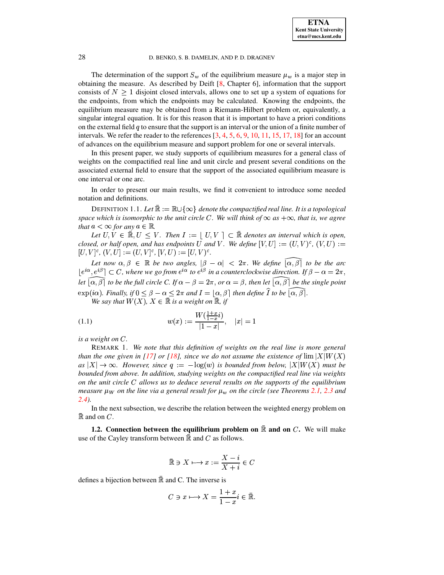The determination of the support  $S_w$  of the equilibrium measure  $\mu_w$  is a major step in obtaining the measure. As described by Deift [\[8,](#page-13-1) Chapter 6], information that the support consists of  $N \geq 1$  disjoint closed intervals, allows one to set up a system of equations for the endpoints, from which the endpoints may be calculated. Knowing the endpoints, the equilibrium measure may be obtained from a Riemann-Hilbert problem or, equivalently, a singular integral equation. It is for this reason that it is important to have a priori conditions on the external field  $q$  to ensure that the support is an interval or the union of a finite number of intervals. We refer the reader to the references [\[3,](#page-12-3) [4,](#page-12-2) [5,](#page-13-10) [6,](#page-13-11) [9,](#page-13-12) [10,](#page-13-13) [11,](#page-13-14) [15,](#page-13-15) [17,](#page-13-6) [18\]](#page-13-16) for an account of advances on the equilibrium measure and support problem for one or several intervals.

In this present paper, we study supports of equilibrium measures for a general class of weights on the compactified real line and unit circle and present several conditions on the associated external field to ensure that the support of the associated equilibrium measure is one interval or one arc.

<span id="page-1-1"></span>In order to present our main results, we find it convenient to introduce some needed notation and definitions.

DEFINITION 1.1. Let  $\mathbb{R} := \mathbb{R} \cup \{\infty\}$  denote the compactified real line. It is a topological *space* which is *isomorphic* to the *unit* circle C. We will think of  $\infty$  as  $+\infty$ , that is, we agree *that*  $a < \infty$  *for any*  $a \in \mathbb{R}$ .

Let  $U, V \in \mathbb{R}, U \leq V$ . Then  $I := U, V \subset \mathbb{R}$  denotes an interval which is open, *closed, or half open, and has endpoints* U *and* V. We define  $[V, U] := (U, V)^c$ ,  $(V, U)$ :  $[U, V]^c, (V, U] := (U, V]^c, [V, U) := [U, V)^c.$ 

*Let* now  $\alpha, \beta \in \mathbb{R}$  be two angles,  $|\beta - \alpha| < 2\pi$ . We define  $[\alpha, \beta]$  to be the arc  $|e^{i\alpha}, e^{i\beta}| \subset C$ , where we go from  $e^{i\alpha}$  to  $e^{i\beta}$  in a counterclockwise direction. If  $\beta - \alpha = 2\pi$ , *let*  $\widehat{[\alpha, \beta]}$  *to be the full circle C. If*  $\alpha - \beta = 2\pi$ *, or*  $\alpha = \beta$ *, then let*  $\widehat{[\alpha, \beta]}$  *be the single point*  $\exp(i\alpha)$ . Finally, if  $0 \le \beta - \alpha \le 2\pi$  and  $I = [\alpha, \beta]$  then define I to be  $[\alpha, \beta]$ .

<span id="page-1-0"></span>*We say that*  $W(X)$ ,  $X \in \mathbb{R}$  *is a weight on*  $\mathbb{R}$ *, if* 

(1.1) 
$$
w(x) := \frac{W(\frac{1+x}{1-x}i)}{|1-x|}, \quad |x| = 1
$$

 $i$ *s*  $a$  *weight* on  $C$ *.* 

REMARK 1. *We note that this definition of weights on the real line is more general* B *than the one given in* [\[17\]](#page-13-6) *or* [\[18\]](#page-13-16)*, since we do not assume the existence of*  $\lim |X|W(X)$ *as*  $|X| \to \infty$ *. However, since*  $q := -\log(w)$  *is bounded from below,*  $|X|W(X)$  *must be bounded from above. In addition, studying weights on the compactified real line via weights on the unit circle* <sup>k</sup> *allows us to deduce several results on the supports of the equilibrium measure*  $\mu_W$  *on* the line via a general result for  $\mu_w$  *on* the circle (see Theorems [2.1,](#page-4-0) [2.3](#page-6-0) and *[2.4\)](#page-7-0).*

In the next subsection, we describe the relation between the weighted energy problem on  $\mathbb R$  and on  $C$ .

**1.2.** Connection between the equilibrium problem on  $\mathbb{R}$  and on  $C$ . We will make use of the Cayley transform between  $\mathbb R$  and  $C$  as follows.

$$
\bar{\mathbb{R}}\ni X\longmapsto x:=\frac{X-i}{X+i}\in C
$$

defines a bijection between  $\mathbb R$  and C. The inverse is

$$
C\ni x\longmapsto X=\frac{1+x}{1-x}i\in\bar{\mathbb{R}}.
$$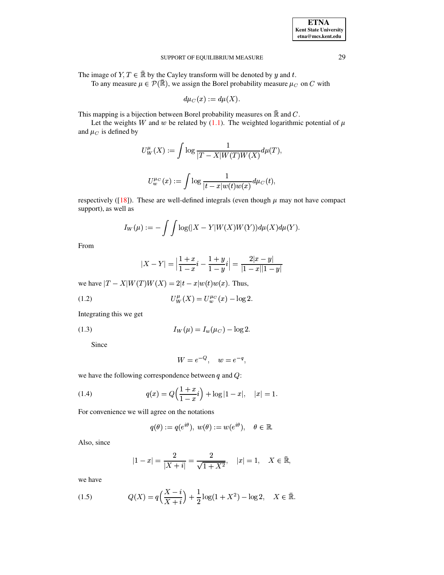| <b>ETNA</b>                  |
|------------------------------|
| <b>Kent State University</b> |
| etna@mcs.kent.edu            |

The image of  $Y, T \in \mathbb{R}$  by the Cayley transform will be denoted by y and t.

To any measure  $\mu \in \mathcal{P}(\bar{\mathbb{R}})$ , we assign the Borel probability measure  $\mu_C$  on C with

$$
d\mu_C(x) := d\mu(X).
$$

This mapping is a bijection between Borel probability measures on  $\bar{\mathbb{R}}$  and C.

Let the weights W and w be related by (1.1). The weighted logarithmic potential of  $\mu$ and  $\mu_C$  is defined by

$$
U_W^{\mu}(X) := \int \log \frac{1}{|T - X| W(T) W(X)} d\mu(T),
$$
  

$$
U_w^{\mu_C}(x) := \int \log \frac{1}{|t - x| w(t) w(x)} d\mu_C(t),
$$

respectively ([18]). These are well-defined integrals (even though  $\mu$  may not have compact support), as well as

$$
I_W(\mu):=-\int\int\log(|X-Y|W(X)W(Y))d\mu(X)d\mu(Y).
$$

From

<span id="page-2-3"></span>
$$
|X - Y| = \left| \frac{1 + x}{1 - x}i - \frac{1 + y}{1 - y}i \right| = \frac{2|x - y|}{|1 - x||1 - y|}
$$

we have  $|T - X| W(T) W(X) = 2|t - x| w(t) w(x)$ . Thus,

(1.2) 
$$
U^{\mu}_{W}(X) = U^{\mu}_{w}(x) - \log 2.
$$

<span id="page-2-1"></span>Integrating this we get

(1.3) 
$$
I_W(\mu) = I_w(\mu_C) - \log 2.
$$

Since

<span id="page-2-0"></span>
$$
W = e^{-Q}, \quad w = e^{-q},
$$

we have the following correspondence between  $q$  and  $Q$ :

(1.4) 
$$
q(x) = Q\left(\frac{1+x}{1-x}i\right) + \log|1-x|, \quad |x| = 1.
$$

For convenience we will agree on the notations

$$
q(\theta) := q(e^{i\theta}), \ w(\theta) := w(e^{i\theta}), \quad \theta \in \mathbb{R}.
$$

Also, since

$$
|1-x| = \frac{2}{|X+i|} = \frac{2}{\sqrt{1+X^2}}, \quad |x|=1, \quad X \in \bar{\mathbb{R}},
$$

<span id="page-2-2"></span>we have

(1.5) 
$$
Q(X) = q\left(\frac{X - i}{X + i}\right) + \frac{1}{2}\log(1 + X^2) - \log 2, \quad X \in \mathbb{R}
$$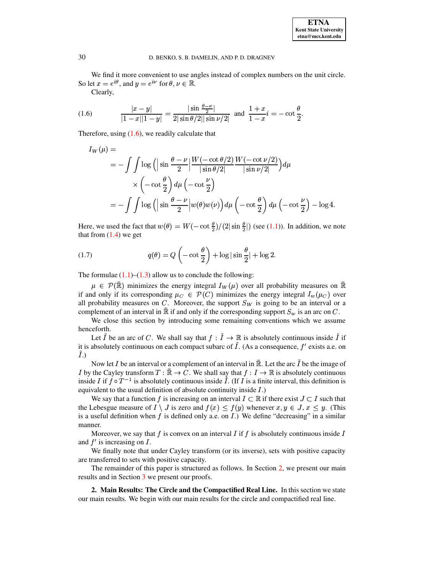<span id="page-3-0"></span>We find it more convenient to use angles instead of complex numbers on the unit circle. So let  $x = e^{i\theta}$ , and  $y = e^{i\nu}$  for  $\theta, \nu \in \mathbb{R}$ .

Clearly,

(1.6) 
$$
\frac{|x-y|}{|1-x||1-y|} = \frac{|\sin \frac{\theta - \nu}{2}|}{2|\sin \theta/2||\sin \nu/2|} \text{ and } \frac{1+x}{1-x}i = -\cot \frac{\theta}{2}.
$$

Therefore, using  $(1.6)$ , we readily calculate that

$$
I_W(\mu) =
$$
  
=  $-\int \int \log \left( \left| \sin \frac{\theta - \nu}{2} \right| \frac{W(-\cot \theta/2)}{|\sin \theta/2|} \frac{W(-\cot \nu/2)}{|\sin \nu/2|} \right) d\mu$   
 $\times \left( -\cot \frac{\theta}{2} \right) d\mu \left( -\cot \frac{\nu}{2} \right)$   
=  $-\int \int \log \left( \left| \sin \frac{\theta - \nu}{2} \right| w(\theta) w(\nu) \right) d\mu \left( -\cot \frac{\theta}{2} \right) d\mu \left( -\cot \frac{\nu}{2} \right) - \log 4$ 

<span id="page-3-2"></span>Here, we used the fact that  $w(\theta) = W(-\cot \frac{\theta}{2})/(2|\sin \frac{\theta}{2}|)$  (see (1.1)). In addition, we note that from  $(1.4)$  we get

(1.7) 
$$
q(\theta) = Q\left(-\cot\frac{\theta}{2}\right) + \log|\sin\frac{\theta}{2}| + \log 2.
$$

The formulae  $(1.1)$ – $(1.3)$  allow us to conclude the following:

 $\mu \in \mathcal{P}(\mathbb{R})$  minimizes the energy integral  $I_W(\mu)$  over all probability measures on  $\mathbb R$ if and only if its corresponding  $\mu_C \in \mathcal{P}(C)$  minimizes the energy integral  $I_w(\mu_C)$  over all probability measures on  $C$ . Moreover, the support  $S_W$  is going to be an interval or a complement of an interval in  $\mathbb R$  if and only if the corresponding support  $S_w$  is an arc on C.

We close this section by introducing some remaining conventions which we assume henceforth.

Let  $\tilde{I}$  be an arc of C. We shall say that  $f : \tilde{I} \to \mathbb{R}$  is absolutely continuous inside  $\tilde{I}$  if it is absolutely continuous on each compact subarc of  $\tilde{I}$ . (As a consequence,  $f'$  exists a.e. on  $\tilde{I}$ .)

Now let I be an interval or a complement of an interval in  $\overline{\mathbb{R}}$ . Let the arc  $\tilde{I}$  be the image of I by the Cayley transform  $T : \mathbb{R} \to C$ . We shall say that  $f : I \to \mathbb{R}$  is absolutely continuous inside I if  $f \circ T^{-1}$  is absolutely continuous inside I. (If I is a finite interval, this definition is equivalent to the usual definition of absolute continuity inside  $I$ .)

We say that a function f is increasing on an interval  $I \subset \mathbb{R}$  if there exist  $J \subset I$  such that the Lebesgue measure of  $I \setminus J$  is zero and  $f(x) \leq f(y)$  whenever  $x, y \in J$ ,  $x \leq y$ . (This is a useful definition when  $f$  is defined only a.e. on  $I$ .) We define "decreasing" in a similar manner.

Moreover, we say that f is convex on an interval I if f is absolutely continuous inside I and  $f'$  is increasing on  $I$ .

We finally note that under Cayley transform (or its inverse), sets with positive capacity are transferred to sets with positive capacity.

The remainder of this paper is structured as follows. In Section 2, we present our main results and in Section 3 we present our proofs.

<span id="page-3-1"></span>2. Main Results: The Circle and the Compactified Real Line. In this section we state our main results. We begin with our main results for the circle and compactified real line.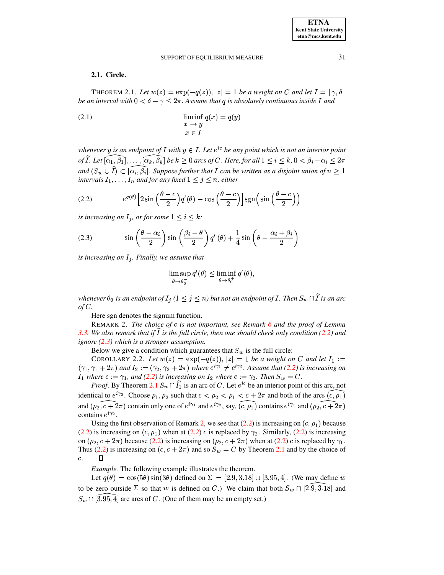# <span id="page-4-4"></span>2.1. Circle.

<span id="page-4-0"></span>THEOREM 2.1. Let  $w(z) = \exp(-q(z)), |z| = 1$  be a weight on C and let  $I = [\gamma, \delta]$ be an interval with  $0 < \delta - \gamma \leq 2\pi$ . Assume that q is absolutely continuous inside I and

 $\liminf_{x \to y} q(x) = q(y)$ <br> $x \in I$  $(2.1)$ 

whenever y is an endpoint of I with  $y \in I$ . Let  $e^{ic}$  be any point which is not an interior point of  $\widehat{I}$ . Let  $[\alpha_1,\beta_1],\ldots,[\alpha_k,\beta_k]$  be  $k\geq 0$  arcs of C. Here, for all  $1\leq i\leq k$ ,  $0<\beta_i-\alpha_i\leq 2\pi$ and  $(S_w \cup \hat{I}) \subset [\alpha_i, \beta_i]$ . Suppose further that I can be written as a disjoint union of  $n \geq 1$ intervals  $I_1, \ldots, I_n$  and for any fixed  $1 \leq j \leq n$ , either

(2.2) 
$$
e^{q(\theta)}\left[2\sin\left(\frac{\theta-c}{2}\right)q'(\theta)-\cos\left(\frac{\theta-c}{2}\right)\right]\text{sgn}\left(\sin\left(\frac{\theta-c}{2}\right)\right)
$$

is increasing on  $I_j$ , or for some  $1 \leq i \leq k$ :

(2.3) 
$$
\sin\left(\frac{\theta-\alpha_i}{2}\right)\sin\left(\frac{\beta_i-\theta}{2}\right)q'(\theta)+\frac{1}{4}\sin\left(\theta-\frac{\alpha_i+\beta_i}{2}\right)
$$

is increasing on  $I_j$ . Finally, we assume that

<span id="page-4-2"></span><span id="page-4-1"></span>
$$
\limsup_{\theta \to \theta_0^-} q'(\theta) \le \liminf_{\theta \to \theta_0^+} q'(\theta)
$$

whenever  $\theta_0$  is an endpoint of  $I_j$  ( $1 \leq j \leq n$ ) but not an endpoint of I. Then  $S_w \cap \widehat{I}$  is an arc  $of C.$ 

Here sgn denotes the signum function.

<span id="page-4-3"></span>REMARK 2. The choice of c is not important, see Remark 6 and the proof of Lemma 3.3. We also remark that if I is the full circle, then one should check only condition  $(2.2)$  and ignore  $(2.3)$  which is a stronger assumption.

Below we give a condition which guarantees that  $S_w$  is the full circle:

COROLLARY 2.2. Let  $w(z) = \exp(-q(z))$ ,  $|z| = 1$  be a weight on C and let  $I_1 :=$  $(\gamma_1, \gamma_1 + 2\pi)$  and  $I_2 := (\gamma_2, \gamma_2 + 2\pi)$  where  $e^{i\gamma_1} \neq e^{i\gamma_2}$ . Assume that (2.2) is increasing on  $I_1$  where  $c := \gamma_1$ , and (2.2) is increasing on  $I_2$  where  $c := \gamma_2$ . Then  $S_w = C$ .

*Proof.* By Theorem 2.1  $S_w \cap \hat{I_1}$  is an arc of C. Let  $e^{ic}$  be an interior point of this arc, not identical to  $e^{i\gamma_2}$ . Choose  $\rho_1$ ,  $\rho_2$  such that  $c < \rho_2 < \rho_1 < c + 2\pi$  and both of the arcs  $(c, \rho_1)$ and  $(\rho_2, c + 2\pi)$  contain only one of  $e^{i\gamma_1}$  and  $e^{i\gamma_2}$ , say,  $(c, \rho_1)$  contains  $e^{i\gamma_1}$  and  $(\rho_2, c + 2\pi)$ contains  $e^{i\gamma_2}$ .

Using the first observation of Remark 2, we see that (2.2) is increasing on  $(c, \rho_1)$  because (2.2) is increasing on  $(c, \rho_1)$  when at (2.2) c is replaced by  $\gamma_2$ . Similarly, (2.2) is increasing on  $(\rho_2, c + 2\pi)$  because (2.2) is increasing on  $(\rho_2, c + 2\pi)$  when at (2.2) c is replaced by  $\gamma_1$ . Thus (2.2) is increasing on  $(c, c + 2\pi)$  and so  $S_w = C$  by Theorem 2.1 and by the choice of  $\Box$  $\overline{c}$ .

*Example.* The following example illustrates the theorem.

Let  $q(\theta) = \cos(5\theta) \sin(3\theta)$  defined on  $\Sigma = [2.9, 3.18] \cup [3.95, 4]$ . (We may define w to be zero outside  $\Sigma$  so that w is defined on C.) We claim that both  $S_w \cap [2.9, 3.18]$  and  $S_w \cap [\overline{3.95}, \overline{4}]$  are arcs of C. (One of them may be an empty set.)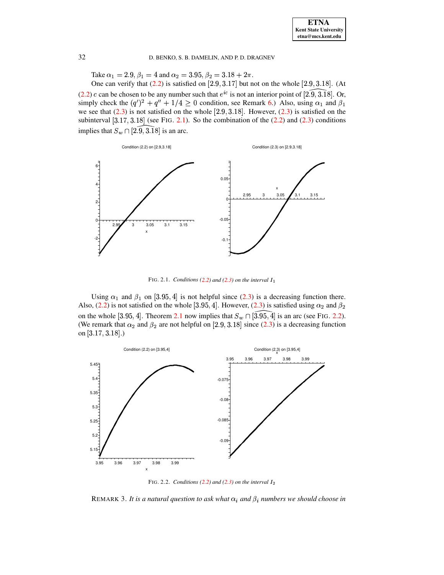Take  $\alpha_1 = 2.9, \beta_1 = 4$  and  $\alpha_2 = 3.95, \beta_2 = 3.18 + 2\pi$ .

One can verify that  $(2.2)$  is satisfied on  $[2.9, 3.17]$  but not on the whole  $[2.9, 3.18]$ . (At [\(2.2\)](#page-4-1)  $c$  can be chosen to be any number such that  $e^{ic}$  is not an interior point of [2.9, 3.18]. Or, (2.2) è can be enosen to be any nannoer saen that  $\epsilon$  is not an interior point or [2.5, 0.10]. Or, simply check the  $(q')^2 + q'' + 1/4 \ge 0$  condition, see Remark [6.](#page-9-0)) Also, using  $\alpha_1$  and  $\beta_1$ we see that  $(2.3)$  is not satisfied on the whole  $[2.9, 3.18]$ . However,  $(2.3)$  is satisfied on the subinterval  $[3.17, 3.18]$  (see FIG. [2.1\)](#page-5-0). So the combination of the  $(2.2)$  and  $(2.3)$  conditions implies that  $S_w \cap [2.9, 3.18]$  is an arc.



<span id="page-5-0"></span>FIG. 2.1. *Conditions* [\(2.2\)](#page-4-1) and [\(2.3\)](#page-4-2) on the interval  $I_1$ 

Using  $\alpha_1$  and  $\beta_1$  on [3.95, 4] is not helpful since [\(2.3\)](#page-4-2) is a decreasing function there. Also, [\(2.2\)](#page-4-1) is not satisfied on the whole [3.95, 4]. However, [\(2.3\)](#page-4-2) is a decreasing function there.<br>Also, (2.2) is not satisfied on the whole [3.95, 4]. However, (2.3) is satisfied using  $\alpha_2$  and  $\beta_2$ on the whole [3.95, 4]. Theorem [2.1](#page-4-0) now implies that  $S_w \cap \widehat{[3.95, 4]}$  is an arc (see FIG. [2.2\)](#page-5-1). (We remark that  $\alpha_2$  and  $\beta_2$  are not helpful on [2.9, 3.18] since [\(2.3\)](#page-4-2) is a decreasing function on  $[3.17, 3.18]$ .)



<span id="page-5-1"></span>FIG. 2.2. *Conditions* [\(2.2\)](#page-4-1) and [\(2.3\)](#page-4-2) on the interval  $I_2$ 

REMARK 3. It is a natural question to ask what  $\alpha_i$  and  $\beta_i$  numbers we should choose in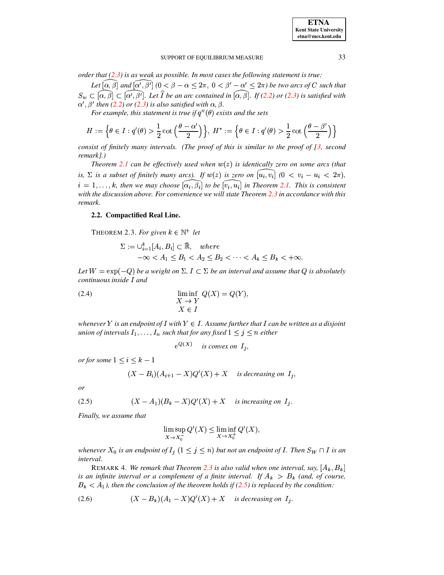*order that [\(2.3\)](#page-4-2) is as weak as possible. In most cases the following statement is true:*

Let  $\widehat{[\alpha,\beta]}$  and  $\widehat{[\alpha',\beta']}$  ( $0<\beta-\alpha\leq 2\pi$ ,  $0<\beta'-\alpha'\leq 2\pi$ ) be two arcs of C such that  $S_w \subset \widehat{[\alpha,\beta]} \subset \widehat{[\alpha',\beta']}$ . Let  $\widehat{I}$  be an arc contained in  $\widehat{[\alpha,\beta]}$ . If [\(2.2\)](#page-4-1) or [\(2.3\)](#page-4-2) is satisfied with  $\alpha'$ ,  $\beta'$  then [\(2.2\)](#page-4-1) or [\(2.3\)](#page-4-2) is also satisfied with  $\alpha$ ,  $\beta$ .

*For example, this statement is true if*  $q''(\theta)$  *exists and the sets* 

$$
H:=\Big\{\theta\in I:q'(\theta)>\frac{1}{2}\cot\Big(\frac{\theta-\alpha'}{2}\Big)\Big\},\ H^*:=\Big\{\theta\in I:q'(\theta)>\frac{1}{2}\cot\Big(\frac{\theta-\beta'}{2}\Big)\Big\}
$$

*consist of finitely many intervals. (The proof of this is similar to the proof of [\[3,](#page-12-3) second remark].)*

*Theorem* [2.1](#page-4-0) *can be effectively used when*  $w(z)$  *is identically zero on some arcs* (*that* is,  $\Sigma$  is a subset of finitely many arcs). If  $w(z)$  is zero on  $[u_i, v_i]$   $(0 \lt v_i - u_i \lt 2\pi)$ ,  $i = 1, \ldots, k$ , then we may choose  $[\alpha_i, \beta_i]$  to be  $[v_i, u_i]$  in Theorem [2.1.](#page-4-0) This is consistent # *with the discussion above. For convenience we will state Theorem [2.3](#page-6-0) in accordance with this remark.*

### <span id="page-6-0"></span>**2.2. Compactified Real Line.**

THEOREM 2.3. For given  $k \in \mathbb{N}^+$  let

$$
\Sigma := \bigcup_{i=1}^{k} [A_i, B_i] \subset \overline{\mathbb{R}}, \quad where
$$
  

$$
-\infty < A_1 \leq B_1 < A_2 \leq B_2 < \dots < A_k \leq B_k < +\infty.
$$

<span id="page-6-4"></span>*Let*  $W = \exp(-Q)$  *be a weight on*  $\Sigma$ ,  $I \subset \Sigma$  *be an interval and assume that*  $Q$  *is absolutely continuous inside* I and

(2.4) 
$$
\liminf_{X \to Y} Q(X) = Q(Y),
$$

$$
X \in I
$$

whenever  $Y$  is an endpoint of  $I$  with  $Y \in I$  . Assume further that  $I$  can be written as a disjoint  $u$ nion of intervals  $I_1, \ldots, I_n$  such that for any fixed  $1 \leq j \leq n$  either

 $e^{Q(X)}$  *is convex on*  $I_i$ ,

*or* for some  $1 \leq i \leq k-1$ 

$$
(X - B_i)(A_{i+1} - X)Q'(X) + X
$$
 is decreasing on  $I_j$ ,

<span id="page-6-1"></span>*or*

(2.5) 
$$
(X - A_1)(B_k - X)Q'(X) + X \text{ is increasing on } I_j.
$$

*Finally, we assume that*

<span id="page-6-2"></span>
$$
\limsup_{X \to X_0^-} Q'(X) \le \liminf_{X \to X_0^+} Q'(X),
$$

<span id="page-6-3"></span>*whenever*  $X_0$  *is an endpoint of*  $I_j$   $(1 \leq j \leq n)$  *but not an endpoint of*  $I$ . Then  $S_W \cap I$  *is an interval.*

REMARK 4. We remark that Theorem [2.3](#page-6-0) is also valid when one interval, say,  $[A_k, B_k]$ *is* an *infinite interval or a complement of a finite interval.* If  $A_k > B_k$  (*and, of course,*  $B_k < A_1$ ), then the conclusion of the theorem holds if [\(2.5\)](#page-6-1) is replaced by the condition:

$$
(2.6) \qquad (X - B_k)(A_1 - X)Q'(X) + X \quad \text{is decreasing on } I_j.
$$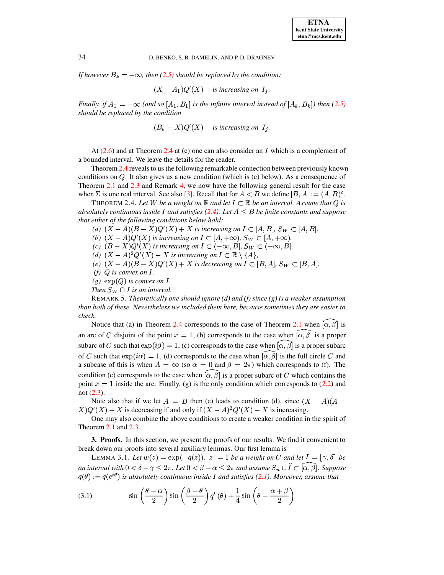*If* however  $B_k = +\infty$ , then [\(2.5\)](#page-6-1) should be replaced by the condition:

$$
(X - A_1)Q'(X)
$$
 is increasing on  $I_j$ .

*Finally, if*  $A_1 = -\infty$  (and so  $[A_1, B_1]$  is the infinite interval instead of  $[A_k, B_k]$ ) then [\(2.5\)](#page-6-1) *should be replaced by the condition*

 $(B_k - X)Q'(X)$  *is increasing on*  $I_j$ .

At  $(2.6)$  and at Theorem [2.4](#page-7-0) at (e) one can also consider an I which is a complement of a bounded interval. We leave the details for the reader.

Theorem [2.4](#page-7-0) reveals to us the following remarkable connection between previously known conditions on  $Q$ . It also gives us a new condition (which is (e) below). As a consequence of Theorem [2.1](#page-4-0) and [2.3](#page-6-0) and Remark [4,](#page-6-3) we now have the following general result for the case when  $\Sigma$  is one real interval. See also [\[3\]](#page-12-3). Recall that for  $A < B$  we define  $[B, A] := (A, B)^c$ .

<span id="page-7-0"></span>THEOREM 2.4. Let  $W$  be a weight on  $\mathbb R$  and let  $I \subset \mathbb R$  be an interval. Assume that  $Q$  is *absolutely continuous inside*  $I$  *and satisfies* [\(2.4\)](#page-6-4). Let  $A \leq B$  be finite constants and suppose *that either of the following conditions below hold:*

*(a)*  $(X - A)(B - X)Q'(X) + X$  *is increasing on*  $I \subset [A, B], S_W \subset [A, B]$ .

*(b)*  $(X - A)Q'(X)$  *is increasing on*  $I \subset [A, +\infty)$ *,*  $S_W \subset [A, +\infty)$ *.* 

*(c)*  $(B - X)Q'(X)$  *is increasing on*  $I \subset (-\infty, B]$ ,  $S_W \subset (-\infty, B]$ .

*(d)*  $(X - A)^2 Q'(X) - X$  *is increasing on*  $I \subset \mathbb{R} \setminus \{A\},\$ 

*(e)*  $(X - A)(B - X)Q'(X) + X$  *is decreasing on*  $I \subset [B, A]$ ,  $S_W \subset [B, A]$ .

*(f)*  $Q$  *is convex on*  $I$ .

 $(g)$   $\exp(Q)$  *is convex on I.* 

*Then*  $S_W \cap I$  *is an interval.* 

REMARK 5. *Theoretically one should ignore (d) and (f) since (g) is a weaker assumption than both of these. Nevertheless we included them here, because sometimes they are easier to check.*

Notice that (a) in Theorem [2.4](#page-7-0) corresponds to the case of Theorem [2.1](#page-4-0) when  $\widehat{a,\beta}$  is an arc of C disjoint of the point  $x = 1$ , (b) corresponds to the case when  $\widehat{a, \beta}$  is a proper subarc of C such that  $\exp(i\beta) = 1$ , (c) corresponds to the case when  $\widehat{[\alpha,\beta]}$  is a proper subarc of C such that  $\exp(i\alpha) = 1$ , (d) corresponds to the case when  $\widehat{[\alpha,\beta]}$  is the full circle C and a subcase of this is when  $A = \infty$  (so  $\alpha = 0$  and  $\beta = 2\pi$ ) which corresponds to (f). The condition (e) corresponds to the case when  $\widehat{a}$ ,  $\widehat{\beta}$  is a proper subarc of C which contains the point  $x = 1$  inside the arc. Finally, (g) is the only condition which corresponds to [\(2.2\)](#page-4-1) and not [\(2.3\)](#page-4-2).

Note also that if we let  $A = B$  then (e) leads to condition (d), since  $(X - A)(A - B)$  $X)Q'(X) + X$  is decreasing if and only if  $(X - A)^2 Q'(X) - X$  is increasing.

One may also combine the above conditions to create a weaker condition in the spirit of Theorem [2.1](#page-4-0) and [2.3.](#page-6-0)

<span id="page-7-3"></span><span id="page-7-1"></span>**3. Proofs.** In this section, we present the proofs of our results. We find it convenient to break down our proofs into several auxiliary lemmas. Our first lemma is

LEMMA 3.1. Let  $w(z) = \exp(-q(z))$ ,  $|z| = 1$  be a weight on C and let  $I = [\gamma, \delta]$  be an interval with  $0<\delta-\gamma\leq2\pi.$  Let  $0<\beta-\alpha\leq2\pi$  and assume  $S_w\cup\widehat{I}\subset[\widehat{\alpha,\beta}].$  Suppose  $q(\theta) := q(e^{i\theta})$  is absolutely continuous inside I and satisfies [\(2.1\)](#page-4-4). Moreover, assume that

<span id="page-7-2"></span>(3.1) 
$$
\sin\left(\frac{\theta-\alpha}{2}\right)\sin\left(\frac{\beta-\theta}{2}\right)q'(\theta)+\frac{1}{4}\sin\left(\theta-\frac{\alpha+\beta}{2}\right)
$$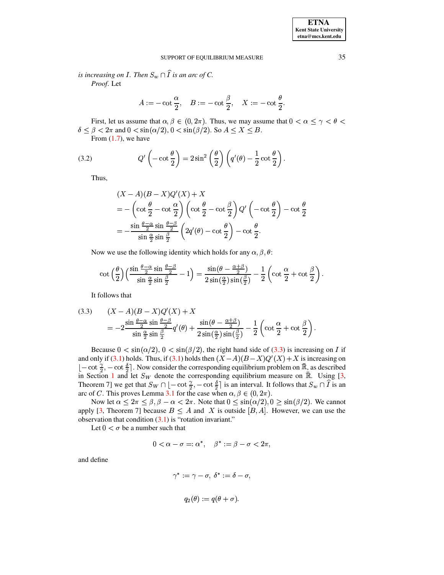is increasing on I. Then  $S_w \cap \widehat{I}$  is an arc of C. Proof. Let

$$
A:=-\cot\frac{\alpha}{2},\quad B:=-\cot\frac{\beta}{2},\quad X:=-\cot\frac{\theta}{2}.
$$

First, let us assume that  $\alpha, \beta \in (0, 2\pi)$ . Thus, we may assume that  $0 < \alpha \leq \gamma < \theta <$  $\delta \leq \beta < 2\pi$  and  $0 < \sin(\alpha/2)$ ,  $0 < \sin(\beta/2)$ . So  $A \leq X \leq B$ .

<span id="page-8-1"></span>From  $(1.7)$ , we have

(3.2) 
$$
Q'\left(-\cot\frac{\theta}{2}\right) = 2\sin^2\left(\frac{\theta}{2}\right)\left(q'(\theta) - \frac{1}{2}\cot\frac{\theta}{2}\right).
$$

Thus,

$$
(X - A)(B - X)Q'(X) + X
$$
  
= -\left(\cot\frac{\theta}{2} - \cot\frac{\alpha}{2}\right)\left(\cot\frac{\theta}{2} - \cot\frac{\beta}{2}\right)Q'\left(-\cot\frac{\theta}{2}\right) - \cot\frac{\theta}{2}  
= -\frac{\sin\frac{\theta-\alpha}{2}\sin\frac{\theta-\beta}{2}}{\sin\frac{\alpha}{2}\sin\frac{\beta}{2}}\left(2q'(\theta) - \cot\frac{\theta}{2}\right) - \cot\frac{\theta}{2}.

Now we use the following identity which holds for any  $\alpha$ ,  $\beta$ ,  $\theta$ :

$$
\cot\left(\frac{\theta}{2}\right)\left(\frac{\sin\frac{\theta-\alpha}{2}\sin\frac{\theta-\beta}{2}}{\sin\frac{\alpha}{2}\sin\frac{\beta}{2}}-1\right)=\frac{\sin(\theta-\frac{\alpha+\beta}{2})}{2\sin(\frac{\alpha}{2})\sin(\frac{\beta}{2})}-\frac{1}{2}\left(\cot\frac{\alpha}{2}+\cot\frac{\beta}{2}\right)
$$

It follows that

<span id="page-8-0"></span>(3.3) 
$$
(X - A)(B - X)Q'(X) + X
$$
  
= 
$$
-2\frac{\sin\frac{\theta-\alpha}{2}\sin\frac{\theta-\beta}{2}}{\sin\frac{\alpha}{2}\sin\frac{\beta}{2}}q'(\theta) + \frac{\sin(\theta-\frac{\alpha+\beta}{2})}{2\sin(\frac{\alpha}{2})\sin(\frac{\beta}{2})} - \frac{1}{2}\left(\cot\frac{\alpha}{2} + \cot\frac{\beta}{2}\right).
$$

Because  $0 < \sin(\alpha/2)$ ,  $0 < \sin(\beta/2)$ , the right hand side of (3.3) is increasing on I if and only if (3.1) holds. Thus, if (3.1) holds then  $(X - A)(B - X)Q'(X) + X$  is increasing on  $[-\cot \frac{\gamma}{2}, -\cot \frac{\delta}{2}]$ . Now consider the corresponding equilibrium problem on  $\bar{\mathbb{R}}$ , as described in Section 1 and let  $S_W$  denote the corresponding equilibrium measure on  $\bar{\mathbb{R}}$ . Using [3, Theorem 7] we get that  $S_W \cap [-\cot \frac{\gamma}{2}, -\cot \frac{\delta}{2}]$  is an interval. It follows that  $S_w \cap \hat{I}$  is an arc of *C*. This proves Lemma 3.1 for the case when  $\alpha, \beta \in (0, 2\pi)$ .

Now let  $\alpha \leq 2\pi \leq \beta, \beta - \alpha < 2\pi$ . Note that  $0 \leq \sin(\alpha/2), 0 \geq \sin(\beta/2)$ . We cannot apply [3, Theorem 7] because  $B \leq A$  and X is outside [B, A]. However, we can use the observation that condition  $(3.1)$  is "rotation invariant."

Let  $0 < \sigma$  be a number such that

$$
0<\alpha-\sigma=:\alpha^*,\quad \beta^*:=\beta-\sigma<2\pi,
$$

and define

$$
\gamma^*:=\gamma-\sigma,\ \delta^*:=\delta-\sigma,
$$
  

$$
q_2(\theta):=q(\theta+\sigma).
$$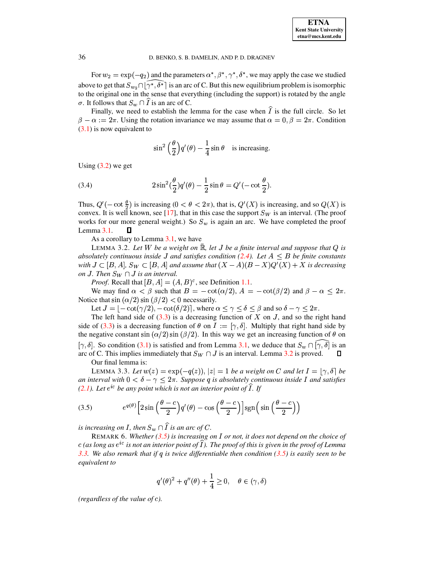For  $w_2 = \exp(-q_2)$  and the parameters  $\alpha^*, \beta^*, \gamma^*, \delta^*$ , we may apply the case we studied above to get that  $S_{w_2} \cap [\gamma^*, \delta^*]$  is an arc of C. But this new equilibrium problem is isomorphic to the original one in the sense that everything (including the support) is rotated by the angle  $\sigma$ . It follows that  $S_w \cap I$  is an arc of C.

Finally, we need to establish the lemma for the case when  $\hat{I}$  is the full circle. So let  $\beta - \alpha := 2\pi$ . Using the rotation invariance we may assume that  $\alpha = 0, \beta = 2\pi$ . Condition  $(3.1)$  is now equivalent to

$$
\sin^2\left(\frac{\theta}{2}\right)q'(\theta) - \frac{1}{4}\sin\theta
$$
 is increasing.

<span id="page-9-4"></span>Using  $(3.2)$  we get

(3.4) 
$$
2 \sin^2(\frac{\theta}{2}) q'(\theta) - \frac{1}{2} \sin \theta = Q'(-\cot \frac{\theta}{2}).
$$

Thus,  $Q'(-\cot \frac{\theta}{2})$  is increasing  $(0 < \theta < 2\pi)$ , that is,  $Q'(X)$  is increasing, and so  $Q(X)$  is convex. It is well known, see [17], that in this case the support  $S_W$  is an interval. (The proof works for our more general weight.) So  $S_w$  is again an arc. We have completed the proof Lemma  $3.1$ . Д

As a corollary to Lemma 3.1, we have

<span id="page-9-2"></span>LEMMA 3.2. Let W be a weight on  $\mathbb R$ , let J be a finite interval and suppose that Q is absolutely continuous inside J and satisfies condition (2.4). Let  $A \leq B$  be finite constants with  $J \subset [B, A]$ ,  $S_W \subset [B, A]$  and assume that  $(X - A)(B - X)Q'(X) + X$  is decreasing on J. Then  $S_W \cap J$  is an interval.

*Proof.* Recall that  $[B, A] = (A, B)^c$ , see Definition 1.1.

We may find  $\alpha < \beta$  such that  $B = -\cot(\alpha/2)$ ,  $A = -\cot(\beta/2)$  and  $\beta - \alpha \leq 2\pi$ . Notice that  $\sin(\alpha/2)\sin(\beta/2) < 0$  necessarily.

Let  $J = [-\cot(\gamma/2), -\cot(\delta/2)]$ , where  $\alpha \leq \gamma \leq \delta \leq \beta$  and so  $\delta - \gamma \leq 2\pi$ .

The left hand side of  $(3.3)$  is a decreasing function of X on J, and so the right hand side of (3.3) is a decreasing function of  $\theta$  on  $I := [\gamma, \delta]$ . Multiply that right hand side by the negative constant  $\sin(\alpha/2)\sin(\beta/2)$ . In this way we get an increasing function of  $\theta$  on  $[\gamma, \delta]$ . So condition (3.1) is satisfied and from Lemma 3.1, we deduce that  $S_w \cap [\gamma, \delta]$  is an arc of C. This implies immediately that  $S_W \cap J$  is an interval. Lemma 3.2 is proved.  $\mathsf{\Pi}$ Our final lemma is:

<span id="page-9-1"></span>LEMMA 3.3. Let  $w(z) = \exp(-q(z))$ ,  $|z| = 1$  be a weight on C and let  $I = [\gamma, \delta]$  be an interval with  $0 < \delta - \gamma \leq 2\pi$ . Suppose q is absolutely continuous inside I and satisfies  $(2.1)$ . Let  $e^{ic}$  be any point which is not an interior point of I. If

(3.5) 
$$
e^{q(\theta)} \left[2 \sin \left(\frac{\theta - c}{2}\right) q'(\theta) - \cos \left(\frac{\theta - c}{2}\right)\right] \text{sgn}\left(\sin \left(\frac{\theta - c}{2}\right)\right)
$$

<span id="page-9-0"></span>is increasing on I, then  $S_w \cap \widehat{I}$  is an arc of C.

REMARK 6. Whether  $(3.5)$  is increasing on I or not, it does not depend on the choice of c (as long as  $e^{ic}$  is not an interior point of I). The proof of this is given in the proof of Lemma 3.3. We also remark that if q is twice differentiable then condition  $(3.5)$  is easily seen to be equivalent to

<span id="page-9-3"></span>
$$
q'(\theta)^2 + q''(\theta) + \frac{1}{4} \ge 0, \quad \theta \in (\gamma, \delta)
$$

(regardless of the value of  $c$ ).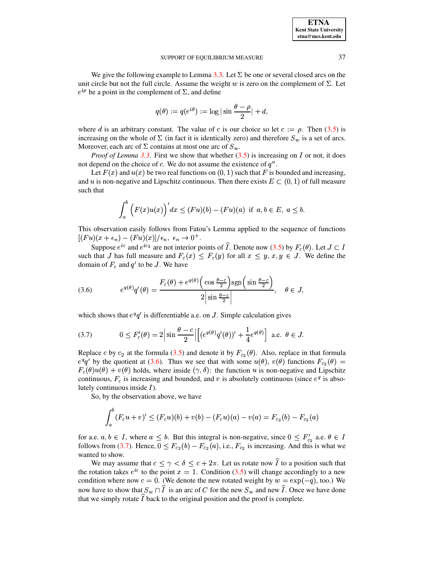We give the following example to Lemma 3.3. Let  $\Sigma$  be one or several closed arcs on the unit circle but not the full circle. Assume the weight w is zero on the complement of  $\Sigma$ . Let  $e^{i\rho}$  be a point in the complement of  $\Sigma$ , and define

$$
q(\theta) \mathrel{\mathop:}= q(e^{i\theta}) := \log|\sin\frac{\theta-\rho}{2}| + d,
$$

where d is an arbitrary constant. The value of c is our choice so let  $c := \rho$ . Then (3.5) is increasing on the whole of  $\Sigma$  (in fact it is identically zero) and therefore  $S_w$  is a set of arcs. Moreover, each arc of  $\Sigma$  contains at most one arc of  $S_w$ .

*Proof of Lemma 3.3.* First we show that whether  $(3.5)$  is increasing on I or not, it does not depend on the choice of c. We do not assume the existence of  $q''$ .

Let  $F(x)$  and  $u(x)$  be two real functions on  $(0, 1)$  such that F is bounded and increasing, and u is non-negative and Lipschitz continuous. Then there exists  $E \subset (0,1)$  of full measure such that

$$
\int_a^b \left( F(x)u(x) \right)' dx \le (Fu)(b) - (Fu)(a) \text{ if } a, b \in E, a \le b.
$$

This observation easily follows from Fatou's Lemma applied to the sequence of functions  $[(Fu)(x+\epsilon_n)-(Fu)(x)]/\epsilon_n, \epsilon_n \to 0^+.$ 

Suppose  $e^{ic}$  and  $e^{ic_2}$  are not interior points of  $\widehat{I}$ . Denote now (3.5) by  $F_c(\theta)$ . Let  $J \subset I$ such that J has full measure and  $F_c(x) < F_c(y)$  for all  $x < y, x, y \in J$ . We define the domain of  $F_c$  and  $q'$  to be J. We have

<span id="page-10-0"></span>(3.6) 
$$
e^{q(\theta)}q'(\theta) = \frac{F_c(\theta) + e^{q(\theta)} \left(\cos \frac{\theta - c}{2}\right) \text{sgn}\left(\sin \frac{\theta - c}{2}\right)}{2 \left|\sin \frac{\theta - c}{2}\right|}, \quad \theta \in J
$$

<span id="page-10-1"></span>which shows that  $e^q q'$  is differentiable a.e. on J. Simple calculation gives

(3.7) 
$$
0 \leq F_c'(\theta) = 2 \left| \sin \frac{\theta - c}{2} \right| \left[ (e^{q(\theta)} q'(\theta))' + \frac{1}{4} e^{q(\theta)} \right] \text{ a.e. } \theta \in J.
$$

Replace c by  $c_2$  at the formula (3.5) and denote it by  $F_{c_2}(\theta)$ . Also, replace in that formula  $e^q q'$  by the quotient at (3.6). Thus we see that with some  $u(\theta)$ ,  $v(\theta)$  functions  $F_{c_2}(\theta)$  =  $F_c(\theta)u(\theta) + v(\theta)$  holds, where inside  $(\gamma, \delta)$ : the function u is non-negative and Lipschitz continuous,  $F_c$  is increasing and bounded, and v is absolutely continuous (since  $e^q$  is absolutely continuous inside  $I$ ).

So, by the observation above, we have

$$
\int_a^b (F_c u + v)' \le (F_c u)(b) + v(b) - (F_c u)(a) - v(a) = F_{c_2}(b) - F_{c_2}(a)
$$

for a.e.  $a, b \in I$ , where  $a \leq b$ . But this integral is non-negative, since  $0 \leq F'_{c_2}$  a.e.  $\theta \in I$ follows from (3.7). Hence,  $0 \leq F_{c_2}(b) - F_{c_2}(a)$ , i.e.,  $F_{c_2}$  is increasing. And this is what we wanted to show.

We may assume that  $c \leq \gamma < \delta \leq c + 2\pi$ . Let us rotate now  $\hat{I}$  to a position such that the rotation takes  $e^{ic}$  to the point  $x = 1$ . Condition (3.5) will change accordingly to a new condition where now  $c = 0$ . (We denote the new rotated weight by  $w = \exp(-q)$ , too.) We now have to show that  $S_w \cap \hat{I}$  is an arc of C for the new  $S_w$  and new  $\hat{I}$ . Once we have done that we simply rotate  $\hat{I}$  back to the original position and the proof is complete.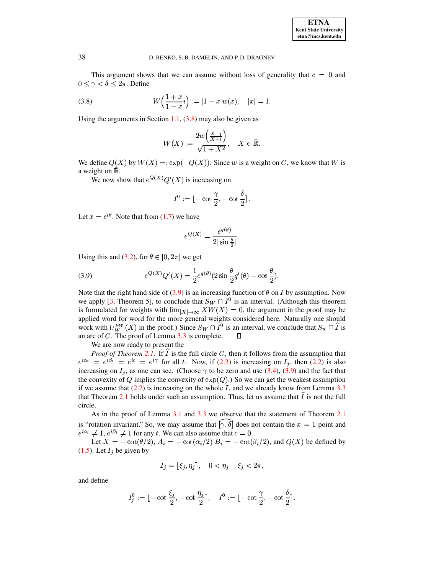<span id="page-11-0"></span>This argument shows that we can assume without loss of generality that  $c = 0$  and  $0 \leq \gamma < \delta \leq 2\pi$ . Define

(3.8) 
$$
W\left(\frac{1+x}{1-x}i\right) := |1-x|w(x), \quad |x|=1.
$$

Using the arguments in Section 1.1,  $(3.8)$  may also be given as

$$
W(X) := \frac{2w\left(\frac{X-i}{X+i}\right)}{\sqrt{1+X^2}}, \quad X \in \mathbb{R}.
$$

We define  $Q(X)$  by  $W(X) = \exp(-Q(X))$ . Since w is a weight on C, we know that W is a weight on R.

We now show that  $e^{Q(X)}Q'(X)$  is increasing on

$$
I^0:=\lfloor -\cot \frac{\gamma}{2}, -\cot \frac{\delta}{2}\rceil.
$$

Let  $x = e^{i\theta}$ . Note that from (1.7) we have

<span id="page-11-1"></span>
$$
e^{Q(X)} = \frac{e^{q(\theta)}}{2|\sin\frac{\theta}{2}|}
$$

Using this and (3.2), for  $\theta \in [0, 2\pi]$  we get

(3.9) 
$$
e^{Q(X)}Q'(X) = \frac{1}{2}e^{q(\theta)}(2\sin\frac{\theta}{2}q'(\theta) - \cos\frac{\theta}{2}).
$$

Note that the right hand side of (3.9) is an increasing function of  $\theta$  on I by assumption. Now we apply [3, Theorem 5], to conclude that  $S_W \cap I^0$  is an interval. (Although this theorem is formulated for weights with  $\lim_{|X| \to \infty} XW(X) = 0$ , the argument in the proof may be applied word for word for the more general weights considered here. Naturally one should work with  $U_W^{\mu w}(X)$  in the proof.) Since  $S_W \cap \overline{I^0}$  is an interval, we conclude that  $S_w \cap \overline{I}$  is an arc of  $C$ . The proof of Lemma  $3.3$  is complete.  $\Box$ 

We are now ready to present the

*Proof of Theorem 2.1.* If  $\hat{I}$  is the full circle C, then it follows from the assumption that  $e^{i\alpha_t} = e^{i\beta_t} = e^{ic} = e^{i\gamma}$  for all t. Now, if (2.3) is increasing on  $I_i$ , then (2.2) is also increasing on  $I_j$ , as one can see. (Choose  $\gamma$  to be zero and use (3.4), (3.9) and the fact that the convexity of Q implies the convexity of  $exp(Q)$ .) So we can get the weakest assumption if we assume that  $(2.2)$  is increasing on the whole I, and we already know from Lemma 3.3 that Theorem 2.1 holds under such an assumption. Thus, let us assume that  $I$  is not the full circle.

As in the proof of Lemma 3.1 and 3.3 we observe that the statement of Theorem 2.1 is "rotation invariant." So, we may assume that  $[\gamma, \delta]$  does not contain the  $x = 1$  point and  $e^{i\alpha_t} \neq 1$ ,  $e^{i\beta_t} \neq 1$  for any t. We can also assume that  $c = 0$ .

Let  $X = -\cot(\theta/2)$ ,  $A_i = -\cot(\alpha_i/2) B_i = -\cot(\beta_i/2)$ , and  $Q(X)$  be defined by  $(1.5)$ . Let  $I_j$  be given by

$$
I_j = \lfloor \xi_j, \eta_j \rfloor, \quad 0 < \eta_j - \xi_j < 2\pi,
$$

and define

$$
I_j^0 := \lfloor -\cot \frac{\xi_j}{2}, -\cot \frac{\eta_j}{2} \rceil, \quad I^0 := \lfloor -\cot \frac{\gamma}{2}, -\cot \frac{\delta}{2} \rceil.
$$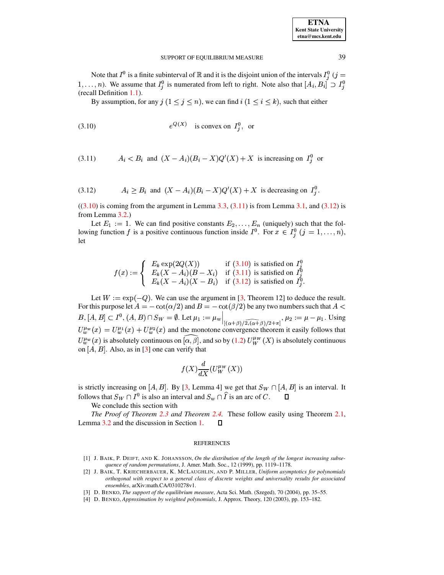| <b>ETNA</b>           |
|-----------------------|
| Kent State University |
| etna@mcs.kent.edu     |

Note that  $I^0$  is a finite subinterval of  $\mathbb R$  and it is the disjoint union of the intervals  $I_i^0$  (j =  $1, \ldots, n$ ). We assume that  $I_i^0$  is numerated from left to right. Note also that  $[A_i, B_i] \supset I_i^0$ (recall Definition 1.1).

By assumption, for any  $j$   $(1 \le j \le n)$ , we can find  $i$   $(1 \le i \le k)$ , such that either

<span id="page-12-5"></span><span id="page-12-4"></span>
$$
(3.10) \t\t e^{Q(X)} \t\t is convex on  $I_i^0$ , or
$$

<span id="page-12-6"></span>
$$
(3.11) \tAi < Bi \tand (X - Ai)(Bi - X)Q'(X) + X \tis increasing on Ii0 or
$$

$$
(3.12) \t A_i \ge B_i \text{ and } (X - A_i)(B_i - X)Q'(X) + X \text{ is decreasing on } I_i^0
$$

 $((3.10)$  is coming from the argument in Lemma 3.3,  $(3.11)$  is from Lemma 3.1, and  $(3.12)$  is from Lemma 3.2.)

Let  $E_1 := 1$ . We can find positive constants  $E_2, \ldots, E_n$  (uniquely) such that the following function f is a positive continuous function inside  $I^0$ . For  $x \in I^0_j$   $(j = 1, ..., n)$ , let

$$
f(x) := \begin{cases} E_k \exp(2Q(X)) & \text{if (3.10) is satisfied on } I_j^0 \\ E_k(X - A_i)(B - X_i) & \text{if (3.11) is satisfied on } I_j^0 \\ E_k(X - A_i)(X - B_i) & \text{if (3.12) is satisfied on } I_j^0. \end{cases}
$$

Let  $W := \exp(-Q)$ . We can use the argument in [3, Theorem 12] to deduce the result. For this purpose let  $A = -\cot(\alpha/2)$  and  $B = -\cot(\beta/2)$  be any two numbers such that  $A <$  $B, [A, B] \subset I^0, (A, B) \cap S_W = \emptyset$ . Let  $\mu_1 := \mu_w \Big|_{[(\alpha + \beta)/2, (\alpha + \beta)/2 + \pi]}, \mu_2 := \mu - \mu_1$ . Using  $U_w^{\mu_w}(x) = U_w^{\mu_1}(x) + U_w^{\mu_2}(x)$  and the monotone convergence theorem it easily follows that  $U_w^{\mu_w}(x)$  is absolutely continuous on  $\bar{\alpha}, \bar{\beta}$ , and so by (1.2)  $U_W^{\mu_w}(X)$  is absolutely continuous on  $[A, B]$ . Also, as in [3] one can verify that

$$
f(X)\frac{d}{dX}(U_W^{\mu_W}(X))
$$

is strictly increasing on [A, B]. By [3, Lemma 4] we get that  $S_W \cap [A, B]$  is an interval. It follows that  $S_W \cap I^0$  is also an interval and  $S_w \cap \hat{I}$  is an arc of C.  $\Box$ 

We conclude this section with

The Proof of Theorem 2.3 and Theorem 2.4. These follow easily using Theorem 2.1, Lemma 3.2 and the discussion in Section 1.  $\Box$ 

### **REFERENCES**

- <span id="page-12-0"></span>[1] J. BAIK, P. DEIFT, AND K. JOHANSSON, On the distribution of the length of the longest increasing subsequence of random permutations, J. Amer. Math. Soc., 12 (1999), pp. 1119-1178.
- <span id="page-12-1"></span>[2] J. BAIK, T. KRIECHERBAUER, K. MCLAUGHLIN, AND P. MILLER, Uniform asymptotics for polynomials orthogonal with respect to a general class of discrete weights and universality results for associated ensembles, arXiv:math.CA/0310278v1.
- <span id="page-12-3"></span>[3] D. BENKO, The support of the equilibrium measure, Acta Sci. Math. (Szeged), 70 (2004), pp. 35–55.
- <span id="page-12-2"></span>[4] D. BENKO, Approximation by weighted polynomials, J. Approx. Theory, 120 (2003), pp. 153-182.